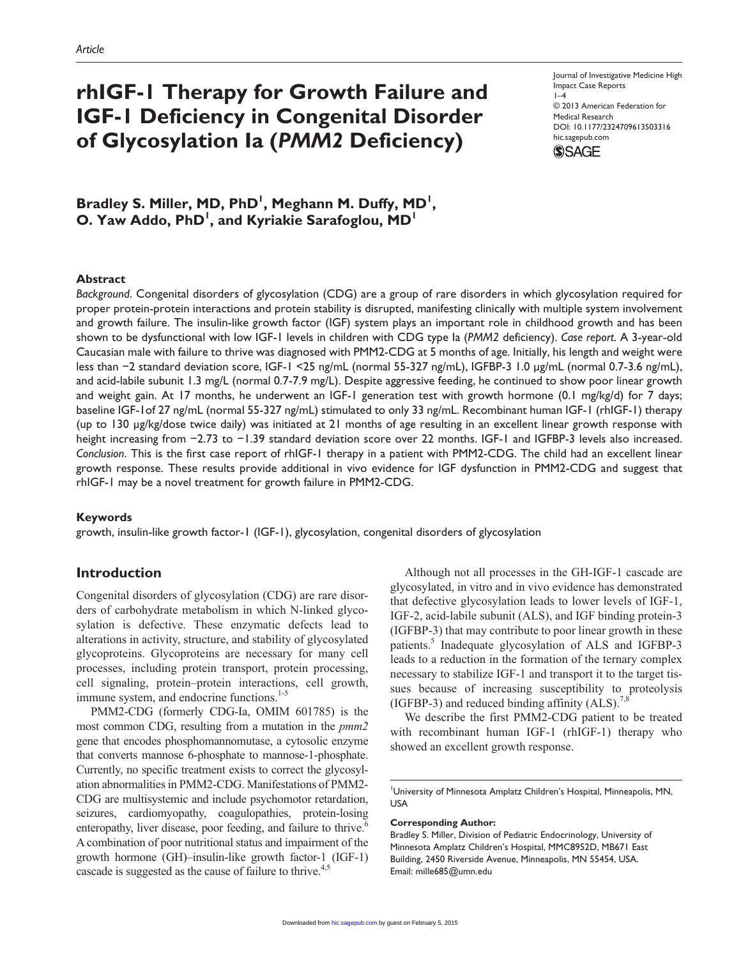# **rhIGF-1 Therapy for Growth Failure and IGF-1 Deficiency in Congenital Disorder of Glycosylation Ia (***PMM2* **Deficiency)**

Journal of Investigative Medicine High Impact Case Reports  $1-4$ © 2013 American Federation for Medical Research DOI: 10.1177/2324709613503316 hic.sagepub.com **SSAGE** 

Bradley S. Miller, MD, PhD<sup>1</sup>, Meghann M. Duffy, MD<sup>1</sup>, O. Yaw Addo, PhD<sup>1</sup>, and Kyriakie Sarafoglou, MD<sup>1</sup>

## **Abstract**

*Background*. Congenital disorders of glycosylation (CDG) are a group of rare disorders in which glycosylation required for proper protein-protein interactions and protein stability is disrupted, manifesting clinically with multiple system involvement and growth failure. The insulin-like growth factor (IGF) system plays an important role in childhood growth and has been shown to be dysfunctional with low IGF-1 levels in children with CDG type Ia (*PMM2* deficiency). *Case report*. A 3-year-old Caucasian male with failure to thrive was diagnosed with PMM2-CDG at 5 months of age. Initially, his length and weight were less than −2 standard deviation score, IGF-1 <25 ng/mL (normal 55-327 ng/mL), IGFBP-3 1.0 µg/mL (normal 0.7-3.6 ng/mL), and acid-labile subunit 1.3 mg/L (normal 0.7-7.9 mg/L). Despite aggressive feeding, he continued to show poor linear growth and weight gain. At 17 months, he underwent an IGF-1 generation test with growth hormone (0.1 mg/kg/d) for 7 days; baseline IGF-1of 27 ng/mL (normal 55-327 ng/mL) stimulated to only 33 ng/mL. Recombinant human IGF-1 (rhIGF-1) therapy (up to 130 µg/kg/dose twice daily) was initiated at 21 months of age resulting in an excellent linear growth response with height increasing from −2.73 to −1.39 standard deviation score over 22 months. IGF-1 and IGFBP-3 levels also increased. *Conclusion*. This is the first case report of rhIGF-1 therapy in a patient with PMM2-CDG. The child had an excellent linear growth response. These results provide additional in vivo evidence for IGF dysfunction in PMM2-CDG and suggest that rhIGF-1 may be a novel treatment for growth failure in PMM2-CDG.

## **Keywords**

growth, insulin-like growth factor-1 (IGF-1), glycosylation, congenital disorders of glycosylation

## **Introduction**

Congenital disorders of glycosylation (CDG) are rare disorders of carbohydrate metabolism in which N-linked glycosylation is defective. These enzymatic defects lead to alterations in activity, structure, and stability of glycosylated glycoproteins. Glycoproteins are necessary for many cell processes, including protein transport, protein processing, cell signaling, protein–protein interactions, cell growth, immune system, and endocrine functions.<sup>1-5</sup>

PMM2-CDG (formerly CDG-Ia, OMIM 601785) is the most common CDG, resulting from a mutation in the *pmm2* gene that encodes phosphomannomutase, a cytosolic enzyme that converts mannose 6-phosphate to mannose-1-phosphate. Currently, no specific treatment exists to correct the glycosylation abnormalities in PMM2-CDG. Manifestations of PMM2- CDG are multisystemic and include psychomotor retardation, seizures, cardiomyopathy, coagulopathies, protein-losing enteropathy, liver disease, poor feeding, and failure to thrive.<sup>6</sup> A combination of poor nutritional status and impairment of the growth hormone (GH)–insulin-like growth factor-1 (IGF-1) cascade is suggested as the cause of failure to thrive.<sup>4,5</sup>

Although not all processes in the GH-IGF-1 cascade are glycosylated, in vitro and in vivo evidence has demonstrated that defective glycosylation leads to lower levels of IGF-1, IGF-2, acid-labile subunit (ALS), and IGF binding protein-3 (IGFBP-3) that may contribute to poor linear growth in these patients.5 Inadequate glycosylation of ALS and IGFBP-3 leads to a reduction in the formation of the ternary complex necessary to stabilize IGF-1 and transport it to the target tissues because of increasing susceptibility to proteolysis (IGFBP-3) and reduced binding affinity  $(ALS)$ .

We describe the first PMM2-CDG patient to be treated with recombinant human IGF-1 (rhIGF-1) therapy who showed an excellent growth response.

1 University of Minnesota Amplatz Children's Hospital, Minneapolis, MN, **USA** 

### **Corresponding Author:**

Bradley S. Miller, Division of Pediatric Endocrinology, University of Minnesota Amplatz Children's Hospital, MMC8952D, MB671 East Building, 2450 Riverside Avenue, Minneapolis, MN 55454, USA. Email: mille685@umn.edu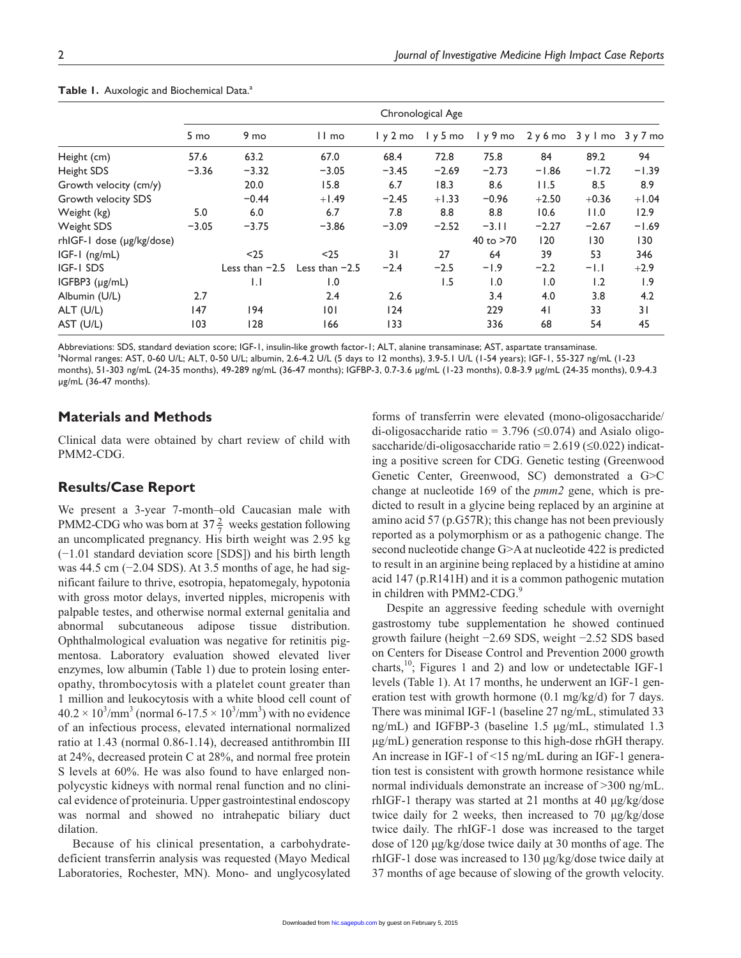|                           | Chronological Age |                  |                  |         |         |           |                         |         |         |
|---------------------------|-------------------|------------------|------------------|---------|---------|-----------|-------------------------|---------|---------|
|                           | 5 mo              | 9 <sub>mo</sub>  | $11 \text{ mo}$  | ly 2 mo | 1y5mo   |           | ly9mo 2y6mo 3ylmo 3y7mo |         |         |
| Height (cm)               | 57.6              | 63.2             | 67.0             | 68.4    | 72.8    | 75.8      | 84                      | 89.2    | 94      |
| Height SDS                | $-3.36$           | $-3.32$          | $-3.05$          | $-3.45$ | $-2.69$ | $-2.73$   | $-1.86$                 | $-1.72$ | $-1.39$ |
| Growth velocity (cm/y)    |                   | 20.0             | 15.8             | 6.7     | 18.3    | 8.6       | 11.5                    | 8.5     | 8.9     |
| Growth velocity SDS       |                   | $-0.44$          | $+1.49$          | $-2.45$ | $+1.33$ | $-0.96$   | $+2.50$                 | $+0.36$ | $+1.04$ |
| Weight (kg)               | 5.0               | 6.0              | 6.7              | 7.8     | 8.8     | 8.8       | 10.6                    | 11.0    | 12.9    |
| Weight SDS                | $-3.05$           | $-3.75$          | $-3.86$          | $-3.09$ | $-2.52$ | $-3.11$   | $-2.27$                 | $-2.67$ | $-1.69$ |
| rhIGF-1 dose (µg/kg/dose) |                   |                  |                  |         |         | 40 to >70 | 120                     | 130     | 130     |
| IGF-1 (ng/mL)             |                   | $25$             | $25$             | 31      | 27      | 64        | 39                      | 53      | 346     |
| IGF-I SDS                 |                   | Less than $-2.5$ | Less than $-2.5$ | $-2.4$  | $-2.5$  | $-1.9$    | $-2.2$                  | $-1.1$  | $+2.9$  |
| IGFBP3 (µg/mL)            |                   | $\mathsf{L}$     | 1.0              |         | 1.5     | 1.0       | 1.0                     | 1.2     | 1.9     |
| Albumin (U/L)             | 2.7               |                  | 2.4              | 2.6     |         | 3.4       | 4.0                     | 3.8     | 4.2     |
| ALT (U/L)                 | 147               | 194              | 0                | 124     |         | 229       | 41                      | 33      | 31      |
| AST (U/L)                 | 103               | 128              | 166              | 133     |         | 336       | 68                      | 54      | 45      |

#### Table 1. Auxologic and Biochemical Data.<sup>a</sup>

Abbreviations: SDS, standard deviation score; IGF-1, insulin-like growth factor-1; ALT, alanine transaminase; AST, aspartate transaminase.

a Normal ranges: AST, 0-60 U/L; ALT, 0-50 U/L; albumin, 2.6-4.2 U/L (5 days to 12 months), 3.9-5.1 U/L (1-54 years); IGF-1, 55-327 ng/mL (1-23

months), 51-303 ng/mL (24-35 months), 49-289 ng/mL (36-47 months); IGFBP-3, 0.7-3.6 µg/mL (1-23 months), 0.8-3.9 µg/mL (24-35 months), 0.9-4.3 µg/mL (36-47 months).

## **Materials and Methods**

Clinical data were obtained by chart review of child with PMM2-CDG.

## **Results/Case Report**

We present a 3-year 7-month–old Caucasian male with PMM2-CDG who was born at  $37\frac{2}{7}$  weeks gestation following an uncomplicated pregnancy. His birth weight was 2.95 kg (−1.01 standard deviation score [SDS]) and his birth length was 44.5 cm (−2.04 SDS). At 3.5 months of age, he had significant failure to thrive, esotropia, hepatomegaly, hypotonia with gross motor delays, inverted nipples, micropenis with palpable testes, and otherwise normal external genitalia and abnormal subcutaneous adipose tissue distribution. Ophthalmological evaluation was negative for retinitis pigmentosa. Laboratory evaluation showed elevated liver enzymes, low albumin (Table 1) due to protein losing enteropathy, thrombocytosis with a platelet count greater than 1 million and leukocytosis with a white blood cell count of  $40.2 \times 10^3/\text{mm}^3$  (normal 6-17.5  $\times 10^3/\text{mm}^3$ ) with no evidence of an infectious process, elevated international normalized ratio at 1.43 (normal 0.86-1.14), decreased antithrombin III at 24%, decreased protein C at 28%, and normal free protein S levels at 60%. He was also found to have enlarged nonpolycystic kidneys with normal renal function and no clinical evidence of proteinuria. Upper gastrointestinal endoscopy was normal and showed no intrahepatic biliary duct dilation.

Because of his clinical presentation, a carbohydratedeficient transferrin analysis was requested (Mayo Medical Laboratories, Rochester, MN). Mono- and unglycosylated

forms of transferrin were elevated (mono-oligosaccharide/ di-oligosaccharide ratio =  $3.796 \leq 0.074$ ) and Asialo oligosaccharide/di-oligosaccharide ratio = 2.619 (≤0.022) indicating a positive screen for CDG. Genetic testing (Greenwood Genetic Center, Greenwood, SC) demonstrated a G>C change at nucleotide 169 of the *pmm2* gene, which is predicted to result in a glycine being replaced by an arginine at amino acid 57 (p.G57R); this change has not been previously reported as a polymorphism or as a pathogenic change. The second nucleotide change G>A at nucleotide 422 is predicted to result in an arginine being replaced by a histidine at amino acid 147 (p.R141H) and it is a common pathogenic mutation in children with PMM2-CDG.<sup>9</sup>

Despite an aggressive feeding schedule with overnight gastrostomy tube supplementation he showed continued growth failure (height −2.69 SDS, weight −2.52 SDS based on Centers for Disease Control and Prevention 2000 growth charts,<sup>10</sup>; Figures 1 and 2) and low or undetectable IGF-1 levels (Table 1). At 17 months, he underwent an IGF-1 generation test with growth hormone (0.1 mg/kg/d) for 7 days. There was minimal IGF-1 (baseline 27 ng/mL, stimulated 33 ng/mL) and IGFBP-3 (baseline 1.5 µg/mL, stimulated 1.3 µg/mL) generation response to this high-dose rhGH therapy. An increase in IGF-1 of <15 ng/mL during an IGF-1 generation test is consistent with growth hormone resistance while normal individuals demonstrate an increase of >300 ng/mL. rhIGF-1 therapy was started at 21 months at 40 µg/kg/dose twice daily for 2 weeks, then increased to 70 µg/kg/dose twice daily. The rhIGF-1 dose was increased to the target dose of 120 µg/kg/dose twice daily at 30 months of age. The rhIGF-1 dose was increased to 130 µg/kg/dose twice daily at 37 months of age because of slowing of the growth velocity.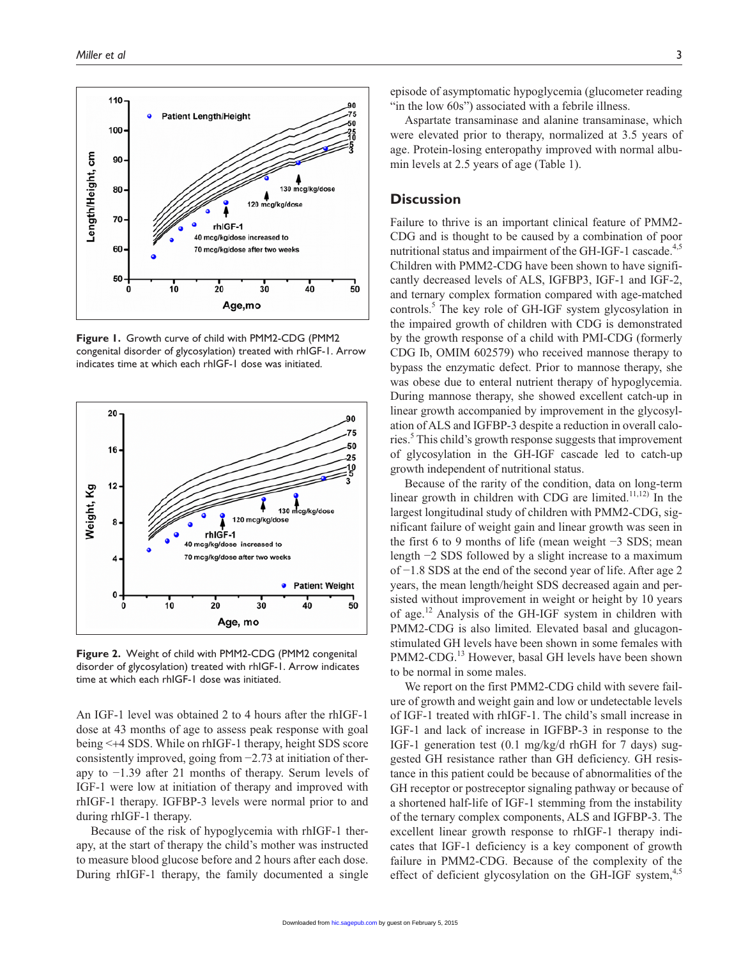

**Figure 1.** Growth curve of child with PMM2-CDG (PMM2 congenital disorder of glycosylation) treated with rhIGF-1. Arrow indicates time at which each rhIGF-1 dose was initiated.



**Figure 2.** Weight of child with PMM2-CDG (PMM2 congenital disorder of glycosylation) treated with rhIGF-1. Arrow indicates time at which each rhIGF-1 dose was initiated.

An IGF-1 level was obtained 2 to 4 hours after the rhIGF-1 dose at 43 months of age to assess peak response with goal being <+4 SDS. While on rhIGF-1 therapy, height SDS score consistently improved, going from −2.73 at initiation of therapy to −1.39 after 21 months of therapy. Serum levels of IGF-1 were low at initiation of therapy and improved with rhIGF-1 therapy. IGFBP-3 levels were normal prior to and during rhIGF-1 therapy.

Because of the risk of hypoglycemia with rhIGF-1 therapy, at the start of therapy the child's mother was instructed to measure blood glucose before and 2 hours after each dose. During rhIGF-1 therapy, the family documented a single episode of asymptomatic hypoglycemia (glucometer reading "in the low 60s") associated with a febrile illness.

Aspartate transaminase and alanine transaminase, which were elevated prior to therapy, normalized at 3.5 years of age. Protein-losing enteropathy improved with normal albumin levels at 2.5 years of age (Table 1).

# **Discussion**

Failure to thrive is an important clinical feature of PMM2- CDG and is thought to be caused by a combination of poor nutritional status and impairment of the GH-IGF-1 cascade.<sup>4,5</sup> Children with PMM2-CDG have been shown to have significantly decreased levels of ALS, IGFBP3, IGF-1 and IGF-2, and ternary complex formation compared with age-matched controls.<sup>5</sup> The key role of GH-IGF system glycosylation in the impaired growth of children with CDG is demonstrated by the growth response of a child with PMI-CDG (formerly CDG Ib, OMIM 602579) who received mannose therapy to bypass the enzymatic defect. Prior to mannose therapy, she was obese due to enteral nutrient therapy of hypoglycemia. During mannose therapy, she showed excellent catch-up in linear growth accompanied by improvement in the glycosylation of ALS and IGFBP-3 despite a reduction in overall calories.<sup>5</sup> This child's growth response suggests that improvement of glycosylation in the GH-IGF cascade led to catch-up growth independent of nutritional status.

Because of the rarity of the condition, data on long-term linear growth in children with CDG are limited. $11,12)$  In the largest longitudinal study of children with PMM2-CDG, significant failure of weight gain and linear growth was seen in the first 6 to 9 months of life (mean weight −3 SDS; mean length −2 SDS followed by a slight increase to a maximum of −1.8 SDS at the end of the second year of life. After age 2 years, the mean length/height SDS decreased again and persisted without improvement in weight or height by 10 years of age.<sup>12</sup> Analysis of the GH-IGF system in children with PMM2-CDG is also limited. Elevated basal and glucagonstimulated GH levels have been shown in some females with PMM2-CDG.<sup>13</sup> However, basal GH levels have been shown to be normal in some males.

We report on the first PMM2-CDG child with severe failure of growth and weight gain and low or undetectable levels of IGF-1 treated with rhIGF-1. The child's small increase in IGF-1 and lack of increase in IGFBP-3 in response to the IGF-1 generation test (0.1 mg/kg/d rhGH for 7 days) suggested GH resistance rather than GH deficiency. GH resistance in this patient could be because of abnormalities of the GH receptor or postreceptor signaling pathway or because of a shortened half-life of IGF-1 stemming from the instability of the ternary complex components, ALS and IGFBP-3. The excellent linear growth response to rhIGF-1 therapy indicates that IGF-1 deficiency is a key component of growth failure in PMM2-CDG. Because of the complexity of the effect of deficient glycosylation on the GH-IGF system,<sup>4,5</sup>